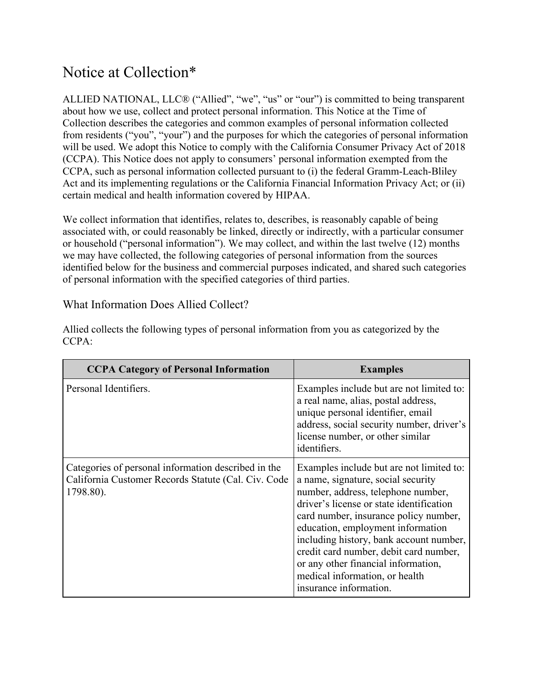# Notice at Collection\*

ALLIED NATIONAL, LLC® ("Allied", "we", "us" or "our") is committed to being transparent about how we use, collect and protect personal information. This Notice at the Time of Collection describes the categories and common examples of personal information collected from residents ("you", "your") and the purposes for which the categories of personal information will be used. We adopt this Notice to comply with the California Consumer Privacy Act of 2018 (CCPA). This Notice does not apply to consumers' personal information exempted from the CCPA, such as personal information collected pursuant to (i) the federal Gramm-Leach-Bliley Act and its implementing regulations or the California Financial Information Privacy Act; or (ii) certain medical and health information covered by HIPAA.

We collect information that identifies, relates to, describes, is reasonably capable of being associated with, or could reasonably be linked, directly or indirectly, with a particular consumer or household ("personal information"). We may collect, and within the last twelve (12) months we may have collected, the following categories of personal information from the sources identified below for the business and commercial purposes indicated, and shared such categories of personal information with the specified categories of third parties.

#### What Information Does Allied Collect?

| <b>CCPA Category of Personal Information</b>                                                                            | <b>Examples</b>                                                                                                                                                                                                                                                                                                                                                                                                                        |
|-------------------------------------------------------------------------------------------------------------------------|----------------------------------------------------------------------------------------------------------------------------------------------------------------------------------------------------------------------------------------------------------------------------------------------------------------------------------------------------------------------------------------------------------------------------------------|
| Personal Identifiers.                                                                                                   | Examples include but are not limited to:<br>a real name, alias, postal address,<br>unique personal identifier, email<br>address, social security number, driver's<br>license number, or other similar<br>identifiers.                                                                                                                                                                                                                  |
| Categories of personal information described in the<br>California Customer Records Statute (Cal. Civ. Code<br>1798.80). | Examples include but are not limited to:<br>a name, signature, social security<br>number, address, telephone number,<br>driver's license or state identification<br>card number, insurance policy number,<br>education, employment information<br>including history, bank account number,<br>credit card number, debit card number,<br>or any other financial information,<br>medical information, or health<br>insurance information. |

Allied collects the following types of personal information from you as categorized by the CCPA: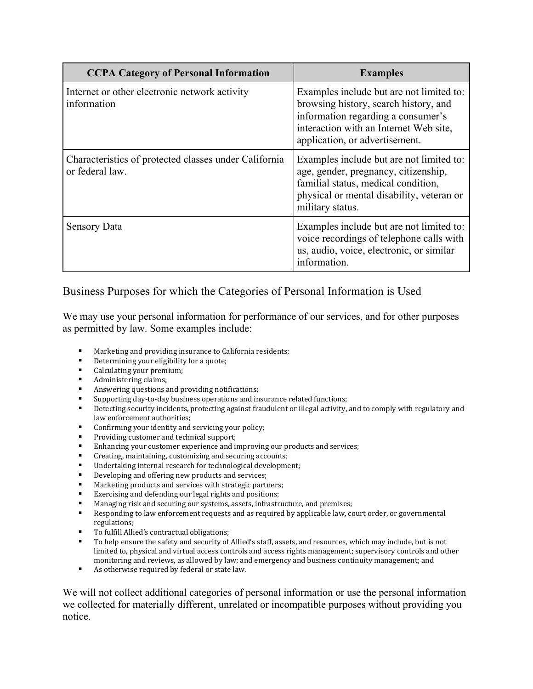| <b>CCPA Category of Personal Information</b>                             | <b>Examples</b>                                                                                                                                                                                     |
|--------------------------------------------------------------------------|-----------------------------------------------------------------------------------------------------------------------------------------------------------------------------------------------------|
| Internet or other electronic network activity<br>information             | Examples include but are not limited to:<br>browsing history, search history, and<br>information regarding a consumer's<br>interaction with an Internet Web site,<br>application, or advertisement. |
| Characteristics of protected classes under California<br>or federal law. | Examples include but are not limited to:<br>age, gender, pregnancy, citizenship,<br>familial status, medical condition,<br>physical or mental disability, veteran or<br>military status.            |
| <b>Sensory Data</b>                                                      | Examples include but are not limited to:<br>voice recordings of telephone calls with<br>us, audio, voice, electronic, or similar<br>information.                                                    |

# Business Purposes for which the Categories of Personal Information is Used

We may use your personal information for performance of our services, and for other purposes as permitted by law. Some examples include:

- Marketing and providing insurance to California residents;<br>Determining your eligibility for a quote:
- Determining your eligibility for a quote;
- Calculating your premium;
- Administering claims;<br>• Answering questions a
- Answering questions and providing notifications;
- Supporting day-to-day business operations and insurance related functions;<br>■ Detecting security incidents, protecting against fraudulent or illegal activity
- Detecting security incidents, protecting against fraudulent or illegal activity, and to comply with regulatory and law enforcement authorities;
- **Confirming your identity and servicing your policy;**
- Providing customer and technical support;
- Enhancing your customer experience and improving our products and services;<br>■ Creating maintaining customizing and securing accounts;
- Creating, maintaining, customizing and securing accounts;<br>■ Indertaking internal research for technological developme
- Undertaking internal research for technological development;<br>■ Developing and offering new products and services:
- Developing and offering new products and services;<br>■ Marketing products and services with strategic parti
- Marketing products and services with strategic partners;
- Exercising and defending our legal rights and positions;
- Managing risk and securing our systems, assets, infrastructure, and premises;<br>Responding to law enforcement requests and as required by applicable law. co
- Responding to law enforcement requests and as required by applicable law, court order, or governmental regulations;
- To fulfill Allied's contractual obligations;
- To help ensure the safety and security of Allied's staff, assets, and resources, which may include, but is not limited to, physical and virtual access controls and access rights management; supervisory controls and other monitoring and reviews, as allowed by law; and emergency and business continuity management; and
- As otherwise required by federal or state law.

We will not collect additional categories of personal information or use the personal information we collected for materially different, unrelated or incompatible purposes without providing you notice.